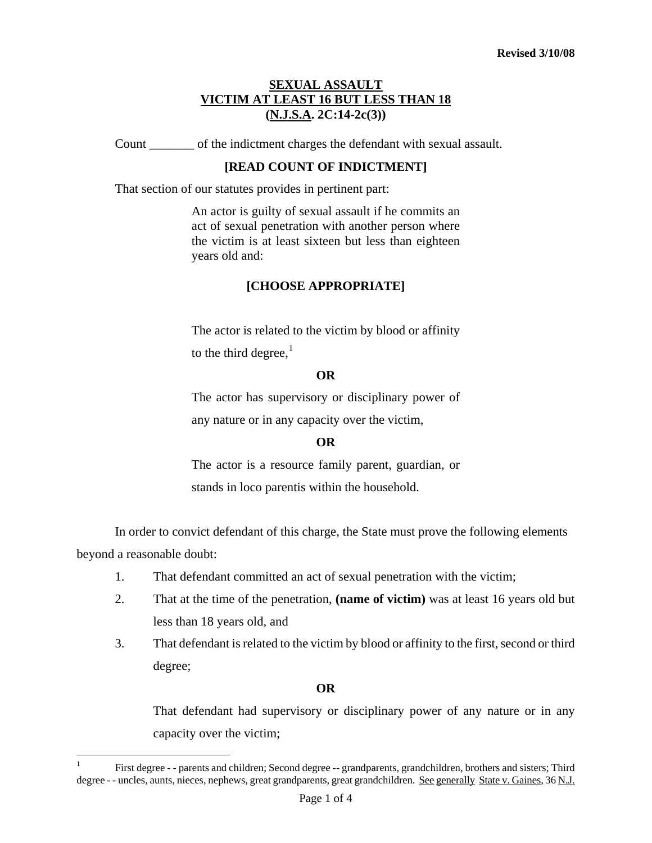## **SEXUAL ASSAULT VICTIM AT LEAST 16 BUT LESS THAN 18 (N.J.S.A. 2C:14-2c(3))**

Count \_\_\_\_\_\_\_ of the indictment charges the defendant with sexual assault.

## **[READ COUNT OF INDICTMENT]**

That section of our statutes provides in pertinent part:

An actor is guilty of sexual assault if he commits an act of sexual penetration with another person where the victim is at least sixteen but less than eighteen years old and:

## **[CHOOSE APPROPRIATE]**

The actor is related to the victim by blood or affinity to the third degree, $<sup>1</sup>$  $<sup>1</sup>$  $<sup>1</sup>$ </sup>

## **OR**

The actor has supervisory or disciplinary power of any nature or in any capacity over the victim,

# **OR**

The actor is a resource family parent, guardian, or stands in loco parentis within the household.

In order to convict defendant of this charge, the State must prove the following elements beyond a reasonable doubt:

- 1. That defendant committed an act of sexual penetration with the victim;
- 2. That at the time of the penetration, **(name of victim)** was at least 16 years old but less than 18 years old, and
- 3. That defendant is related to the victim by blood or affinity to the first, second or third degree;

### **OR**

That defendant had supervisory or disciplinary power of any nature or in any capacity over the victim;

<span id="page-0-0"></span>i<br>Li

<sup>1</sup> First degree - - parents and children; Second degree -- grandparents, grandchildren, brothers and sisters; Third degree - - uncles, aunts, nieces, nephews, great grandparents, great grandchildren. See generally State v. Gaines, 36 N.J.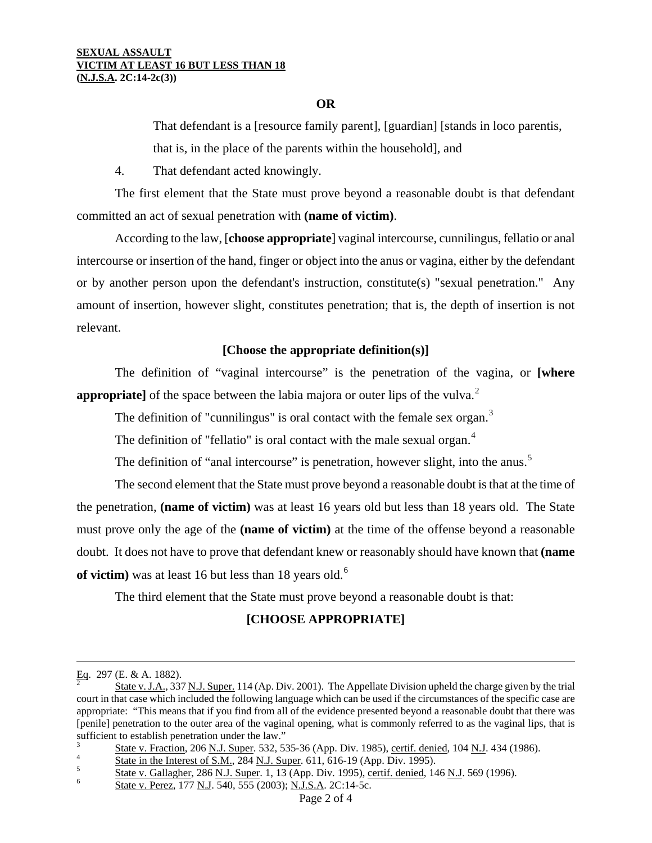#### **SEXUAL ASSAULT VICTIM AT LEAST 16 BUT LESS THAN 18 (N.J.S.A. 2C:14-2c(3))**

## **OR**

That defendant is a [resource family parent], [guardian] [stands in loco parentis, that is, in the place of the parents within the household], and

4. That defendant acted knowingly.

The first element that the State must prove beyond a reasonable doubt is that defendant committed an act of sexual penetration with **(name of victim)**.

According to the law, [**choose appropriate**] vaginal intercourse, cunnilingus, fellatio or anal intercourse or insertion of the hand, finger or object into the anus or vagina, either by the defendant or by another person upon the defendant's instruction, constitute(s) "sexual penetration." Any amount of insertion, however slight, constitutes penetration; that is, the depth of insertion is not relevant.

## **[Choose the appropriate definition(s)]**

The definition of "vaginal intercourse" is the penetration of the vagina, or **[where appropriate**] of the space between the labia majora or outer lips of the vulva.<sup>[2](#page-0-0)</sup>

The definition of "cunnilingus" is oral contact with the female sex organ. $3$ 

The definition of "fellatio" is oral contact with the male sexual organ.<sup>[4](#page-1-2)</sup>

The definition of "anal intercourse" is penetration, however slight, into the anus.<sup>[5](#page-1-3)</sup>

The second element that the State must prove beyond a reasonable doubt is that at the time of the penetration, **(name of victim)** was at least 16 years old but less than 18 years old. The State must prove only the age of the **(name of victim)** at the time of the offense beyond a reasonable doubt. It does not have to prove that defendant knew or reasonably should have known that **(name**  of victim) was at least 1[6](#page-1-4) but less than 18 years old.<sup>6</sup>

The third element that the State must prove beyond a reasonable doubt is that:

# **[CHOOSE APPROPRIATE]**

i

<span id="page-1-2"></span><span id="page-1-0"></span> $\frac{1}{5}$  State in the Interest of S.M., 284 N.J. Super. 611, 616-19 (App. Div. 1995).

Eq. 297 (E. & A. 1882).<br><sup>2</sup> State v. J.A., 337 <u>N.J. Super.</u> 114 (Ap. Div. 2001). The Appellate Division upheld the charge given by the trial court in that case which included the following language which can be used if the circumstances of the specific case are appropriate: "This means that if you find from all of the evidence presented beyond a reasonable doubt that there was [penile] penetration to the outer area of the vaginal opening, what is commonly referred to as the vaginal lips, that is sufficient to establish penetration under the law."

<span id="page-1-5"></span><span id="page-1-1"></span><sup>3</sup>  $\frac{S}{4}$  State v. Fraction, 206 N.J. Super. 532, 535-36 (App. Div. 1985), certif. denied, 104 N.J. 434 (1986).

State v. Gallagher, 286 N.J. Super. 1, 13 (App. Div. 1995), certif. denied, 146 N.J. 569 (1996).

<span id="page-1-4"></span><span id="page-1-3"></span>State v. Perez, 177 N.J. 540, 555 (2003); N.J.S.A. 2C:14-5c.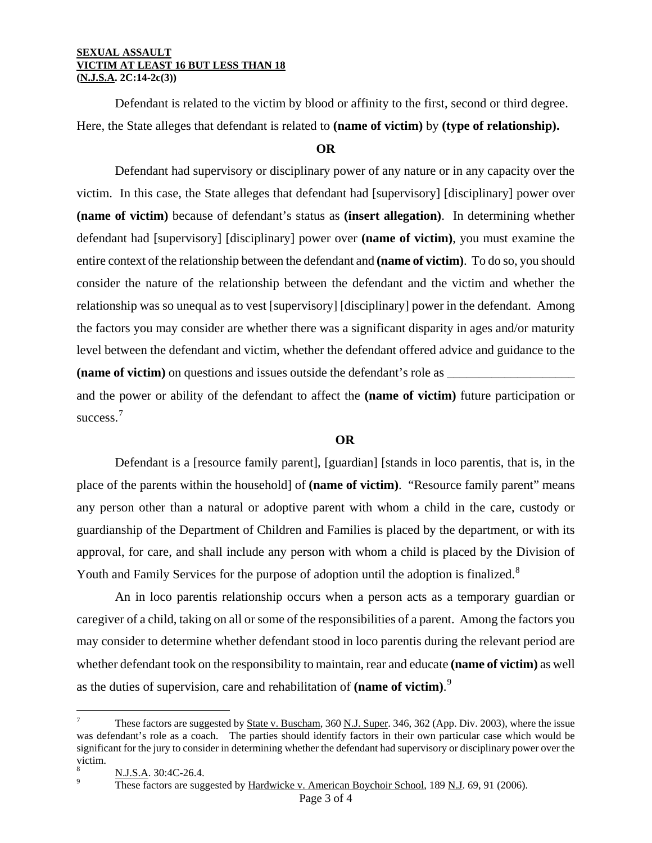#### **SEXUAL ASSAULT VICTIM AT LEAST 16 BUT LESS THAN 18 (N.J.S.A. 2C:14-2c(3))**

Defendant is related to the victim by blood or affinity to the first, second or third degree. Here, the State alleges that defendant is related to **(name of victim)** by **(type of relationship).**

### **OR**

Defendant had supervisory or disciplinary power of any nature or in any capacity over the victim. In this case, the State alleges that defendant had [supervisory] [disciplinary] power over **(name of victim)** because of defendant's status as **(insert allegation)**. In determining whether defendant had [supervisory] [disciplinary] power over **(name of victim)**, you must examine the entire context of the relationship between the defendant and **(name of victim)**. To do so, you should consider the nature of the relationship between the defendant and the victim and whether the relationship was so unequal as to vest [supervisory] [disciplinary] power in the defendant. Among the factors you may consider are whether there was a significant disparity in ages and/or maturity level between the defendant and victim, whether the defendant offered advice and guidance to the **(name of victim)** on questions and issues outside the defendant's role as \_\_\_\_\_\_\_\_\_\_\_\_\_\_\_\_\_\_\_\_

and the power or ability of the defendant to affect the **(name of victim)** future participation or success.<sup>[7](#page-1-5)</sup>

## **OR**

Defendant is a [resource family parent], [guardian] [stands in loco parentis, that is, in the place of the parents within the household] of **(name of victim)**. "Resource family parent" means any person other than a natural or adoptive parent with whom a child in the care, custody or guardianship of the Department of Children and Families is placed by the department, or with its approval, for care, and shall include any person with whom a child is placed by the Division of Youth and Family Services for the purpose of adoption until the adoption is finalized.<sup>[8](#page-2-0)</sup>

An in loco parentis relationship occurs when a person acts as a temporary guardian or caregiver of a child, taking on all or some of the responsibilities of a parent. Among the factors you may consider to determine whether defendant stood in loco parentis during the relevant period are whether defendant took on the responsibility to maintain, rear and educate **(name of victim)** as well as the duties of supervision, care and rehabilitation of **(name of victim)**. [9](#page-2-1)

i<br>Li

<sup>7</sup> These factors are suggested by State v. Buscham, 360 N.J. Super. 346, 362 (App. Div. 2003), where the issue was defendant's role as a coach. The parties should identify factors in their own particular case which would be significant for the jury to consider in determining whether the defendant had supervisory or disciplinary power over the victim.

<span id="page-2-1"></span><span id="page-2-0"></span> $\frac{8}{9}$  N.J.S.A. 30:4C-26.4.

These factors are suggested by Hardwicke v. American Boychoir School, 189 N.J. 69, 91 (2006).